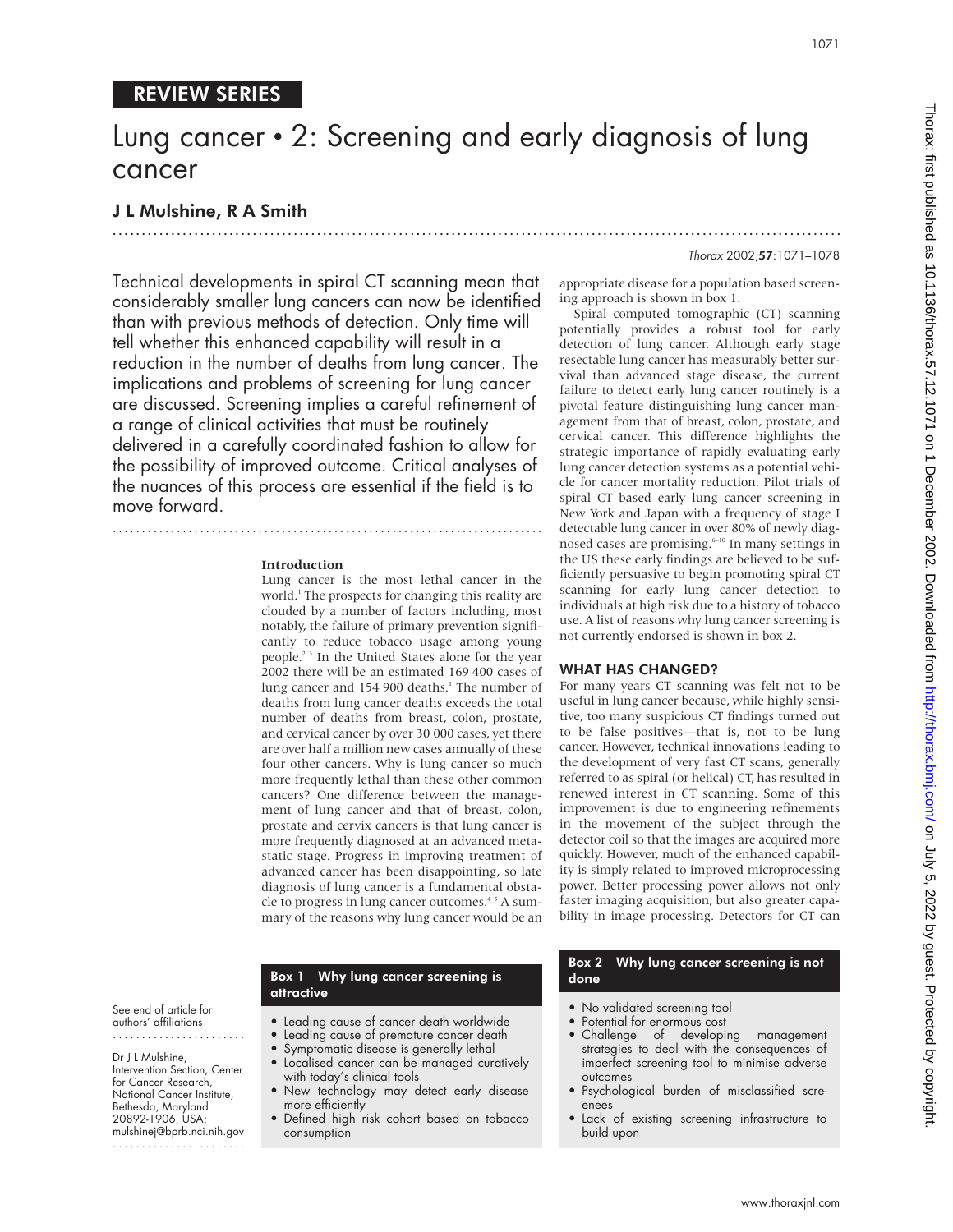## REVIEW SERIES

# Lung cancer • 2: Screening and early diagnosis of lung cancer

.............................................................................................................................

## J L Mulshine, R A Smith

Technical developments in spiral CT scanning mean that considerably smaller lung cancers can now be identified than with previous methods of detection. Only time will tell whether this enhanced capability will result in a reduction in the number of deaths from lung cancer. The implications and problems of screening for lung cancer are discussed. Screening implies a careful refinement of a range of clinical activities that must be routinely delivered in a carefully coordinated fashion to allow for the possibility of improved outcome. Critical analyses of the nuances of this process are essential if the field is to move forward.

..........................................................................

#### **Introduction**

Lung cancer is the most lethal cancer in the world.<sup>1</sup> The prospects for changing this reality are clouded by a number of factors including, most notably, the failure of primary prevention significantly to reduce tobacco usage among young people.2 3 In the United States alone for the year 2002 there will be an estimated 169 400 cases of lung cancer and 154 900 deaths.<sup>1</sup> The number of deaths from lung cancer deaths exceeds the total number of deaths from breast, colon, prostate, and cervical cancer by over 30 000 cases, yet there are over half a million new cases annually of these four other cancers. Why is lung cancer so much more frequently lethal than these other common cancers? One difference between the management of lung cancer and that of breast, colon, prostate and cervix cancers is that lung cancer is more frequently diagnosed at an advanced metastatic stage. Progress in improving treatment of advanced cancer has been disappointing, so late diagnosis of lung cancer is a fundamental obstacle to progress in lung cancer outcomes.4 5 A summary of the reasons why lung cancer would be an

#### Thorax 2002;57:1071–1078

appropriate disease for a population based screening approach is shown in box 1.

Spiral computed tomographic (CT) scanning potentially provides a robust tool for early detection of lung cancer. Although early stage resectable lung cancer has measurably better survival than advanced stage disease, the current failure to detect early lung cancer routinely is a pivotal feature distinguishing lung cancer management from that of breast, colon, prostate, and cervical cancer. This difference highlights the strategic importance of rapidly evaluating early lung cancer detection systems as a potential vehicle for cancer mortality reduction. Pilot trials of spiral CT based early lung cancer screening in New York and Japan with a frequency of stage I detectable lung cancer in over 80% of newly diagnosed cases are promising.<sup>6-10</sup> In many settings in the US these early findings are believed to be sufficiently persuasive to begin promoting spiral CT scanning for early lung cancer detection to individuals at high risk due to a history of tobacco use. A list of reasons why lung cancer screening is not currently endorsed is shown in box 2.

#### WHAT HAS CHANGED?

For many years CT scanning was felt not to be useful in lung cancer because, while highly sensitive, too many suspicious CT findings turned out to be false positives—that is, not to be lung cancer. However, technical innovations leading to the development of very fast CT scans, generally referred to as spiral (or helical) CT, has resulted in renewed interest in CT scanning. Some of this improvement is due to engineering refinements in the movement of the subject through the detector coil so that the images are acquired more quickly. However, much of the enhanced capability is simply related to improved microprocessing power. Better processing power allows not only faster imaging acquisition, but also greater capability in image processing. Detectors for CT can

See end of article for authors' affiliations .......................

Dr J L Mulshine, Intervention Section, Center for Cancer Research, National Cancer Institute, Bethesda, Maryland 20892-1906, USA; mulshinej@bprb.nci.nih.gov .......................

#### Box 1 Why lung cancer screening is attractive

- Leading cause of cancer death worldwide
- Leading cause of premature cancer death
- Symptomatic disease is generally lethal
- Localised cancer can be managed curatively with today's clinical tools
- New technology may detect early disease more efficiently
- Defined high risk cohort based on tobacco consumption

## Box 2 Why lung cancer screening is not done

- No validated screening tool
- Potential for enormous cost
- Challenge of developing management strategies to deal with the consequences of imperfect screening tool to minimise adverse outcomes
- Psychological burden of misclassified screenees
- Lack of existing screening infrastructure to build upon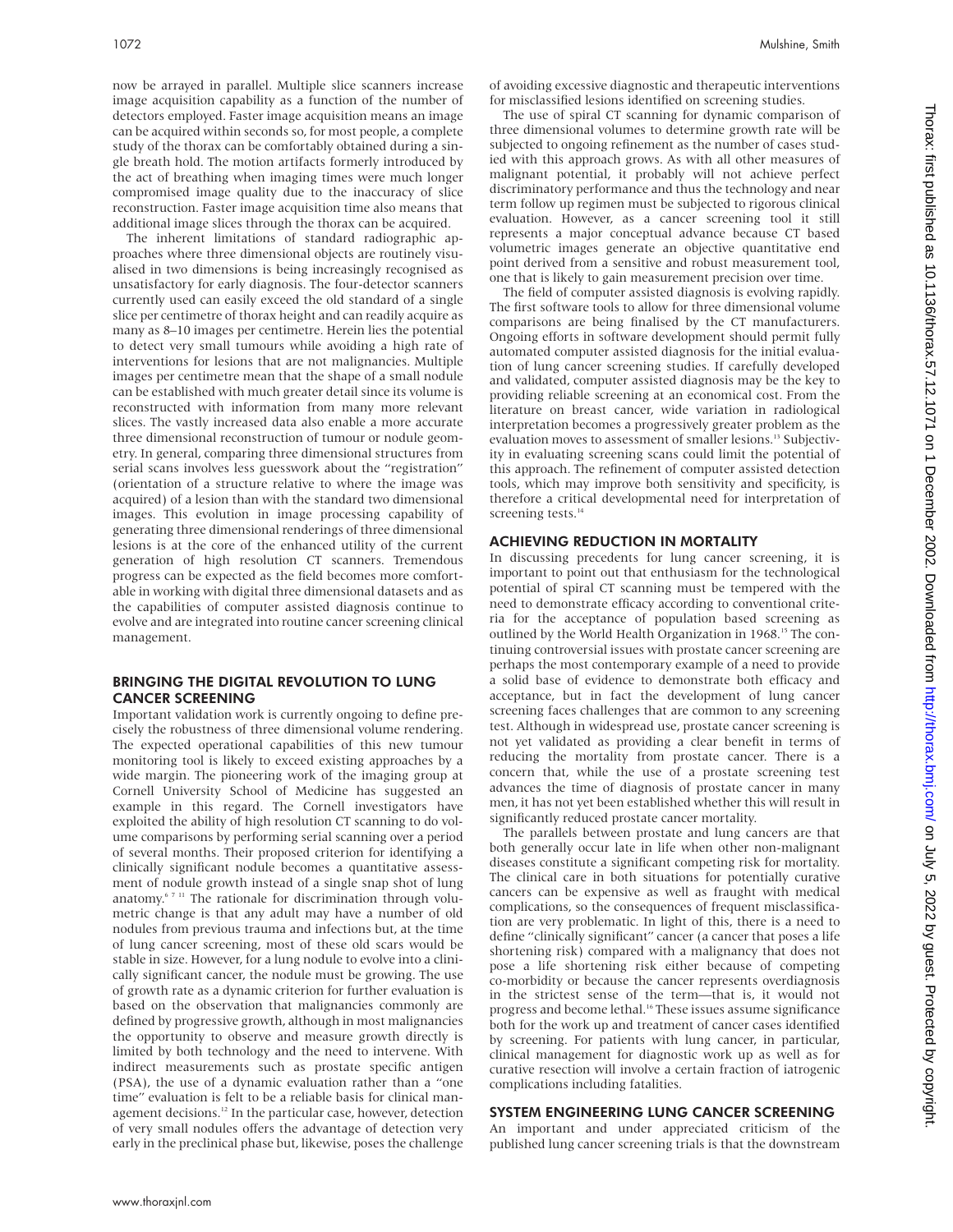now be arrayed in parallel. Multiple slice scanners increase image acquisition capability as a function of the number of detectors employed. Faster image acquisition means an image can be acquired within seconds so, for most people, a complete study of the thorax can be comfortably obtained during a single breath hold. The motion artifacts formerly introduced by the act of breathing when imaging times were much longer compromised image quality due to the inaccuracy of slice reconstruction. Faster image acquisition time also means that additional image slices through the thorax can be acquired.

The inherent limitations of standard radiographic approaches where three dimensional objects are routinely visualised in two dimensions is being increasingly recognised as unsatisfactory for early diagnosis. The four-detector scanners currently used can easily exceed the old standard of a single slice per centimetre of thorax height and can readily acquire as many as 8–10 images per centimetre. Herein lies the potential to detect very small tumours while avoiding a high rate of interventions for lesions that are not malignancies. Multiple images per centimetre mean that the shape of a small nodule can be established with much greater detail since its volume is reconstructed with information from many more relevant slices. The vastly increased data also enable a more accurate three dimensional reconstruction of tumour or nodule geometry. In general, comparing three dimensional structures from serial scans involves less guesswork about the "registration" (orientation of a structure relative to where the image was acquired) of a lesion than with the standard two dimensional images. This evolution in image processing capability of generating three dimensional renderings of three dimensional lesions is at the core of the enhanced utility of the current generation of high resolution CT scanners. Tremendous progress can be expected as the field becomes more comfortable in working with digital three dimensional datasets and as the capabilities of computer assisted diagnosis continue to evolve and are integrated into routine cancer screening clinical management.

## BRINGING THE DIGITAL REVOLUTION TO LUNG CANCER SCREENING

Important validation work is currently ongoing to define precisely the robustness of three dimensional volume rendering. The expected operational capabilities of this new tumour monitoring tool is likely to exceed existing approaches by a wide margin. The pioneering work of the imaging group at Cornell University School of Medicine has suggested an example in this regard. The Cornell investigators have exploited the ability of high resolution CT scanning to do volume comparisons by performing serial scanning over a period of several months. Their proposed criterion for identifying a clinically significant nodule becomes a quantitative assessment of nodule growth instead of a single snap shot of lung anatomy.<sup>67 11</sup> The rationale for discrimination through volumetric change is that any adult may have a number of old nodules from previous trauma and infections but, at the time of lung cancer screening, most of these old scars would be stable in size. However, for a lung nodule to evolve into a clinically significant cancer, the nodule must be growing. The use of growth rate as a dynamic criterion for further evaluation is based on the observation that malignancies commonly are defined by progressive growth, although in most malignancies the opportunity to observe and measure growth directly is limited by both technology and the need to intervene. With indirect measurements such as prostate specific antigen (PSA), the use of a dynamic evaluation rather than a "one time" evaluation is felt to be a reliable basis for clinical management decisions.<sup>12</sup> In the particular case, however, detection of very small nodules offers the advantage of detection very early in the preclinical phase but, likewise, poses the challenge

of avoiding excessive diagnostic and therapeutic interventions for misclassified lesions identified on screening studies.

The use of spiral CT scanning for dynamic comparison of three dimensional volumes to determine growth rate will be subjected to ongoing refinement as the number of cases studied with this approach grows. As with all other measures of malignant potential, it probably will not achieve perfect discriminatory performance and thus the technology and near term follow up regimen must be subjected to rigorous clinical evaluation. However, as a cancer screening tool it still represents a major conceptual advance because CT based volumetric images generate an objective quantitative end point derived from a sensitive and robust measurement tool, one that is likely to gain measurement precision over time.

The field of computer assisted diagnosis is evolving rapidly. The first software tools to allow for three dimensional volume comparisons are being finalised by the CT manufacturers. Ongoing efforts in software development should permit fully automated computer assisted diagnosis for the initial evaluation of lung cancer screening studies. If carefully developed and validated, computer assisted diagnosis may be the key to providing reliable screening at an economical cost. From the literature on breast cancer, wide variation in radiological interpretation becomes a progressively greater problem as the evaluation moves to assessment of smaller lesions.<sup>13</sup> Subjectivity in evaluating screening scans could limit the potential of this approach. The refinement of computer assisted detection tools, which may improve both sensitivity and specificity, is therefore a critical developmental need for interpretation of screening tests.<sup>14</sup>

#### ACHIEVING REDUCTION IN MORTALITY

In discussing precedents for lung cancer screening, it is important to point out that enthusiasm for the technological potential of spiral CT scanning must be tempered with the need to demonstrate efficacy according to conventional criteria for the acceptance of population based screening as outlined by the World Health Organization in 1968.<sup>15</sup> The continuing controversial issues with prostate cancer screening are perhaps the most contemporary example of a need to provide a solid base of evidence to demonstrate both efficacy and acceptance, but in fact the development of lung cancer screening faces challenges that are common to any screening test. Although in widespread use, prostate cancer screening is not yet validated as providing a clear benefit in terms of reducing the mortality from prostate cancer. There is a concern that, while the use of a prostate screening test advances the time of diagnosis of prostate cancer in many men, it has not yet been established whether this will result in significantly reduced prostate cancer mortality.

The parallels between prostate and lung cancers are that both generally occur late in life when other non-malignant diseases constitute a significant competing risk for mortality. The clinical care in both situations for potentially curative cancers can be expensive as well as fraught with medical complications, so the consequences of frequent misclassification are very problematic. In light of this, there is a need to define "clinically significant" cancer (a cancer that poses a life shortening risk) compared with a malignancy that does not pose a life shortening risk either because of competing co-morbidity or because the cancer represents overdiagnosis in the strictest sense of the term—that is, it would not progress and become lethal.<sup>16</sup> These issues assume significance both for the work up and treatment of cancer cases identified by screening. For patients with lung cancer, in particular, clinical management for diagnostic work up as well as for curative resection will involve a certain fraction of iatrogenic complications including fatalities.

## SYSTEM ENGINEERING LUNG CANCER SCREENING

An important and under appreciated criticism of the published lung cancer screening trials is that the downstream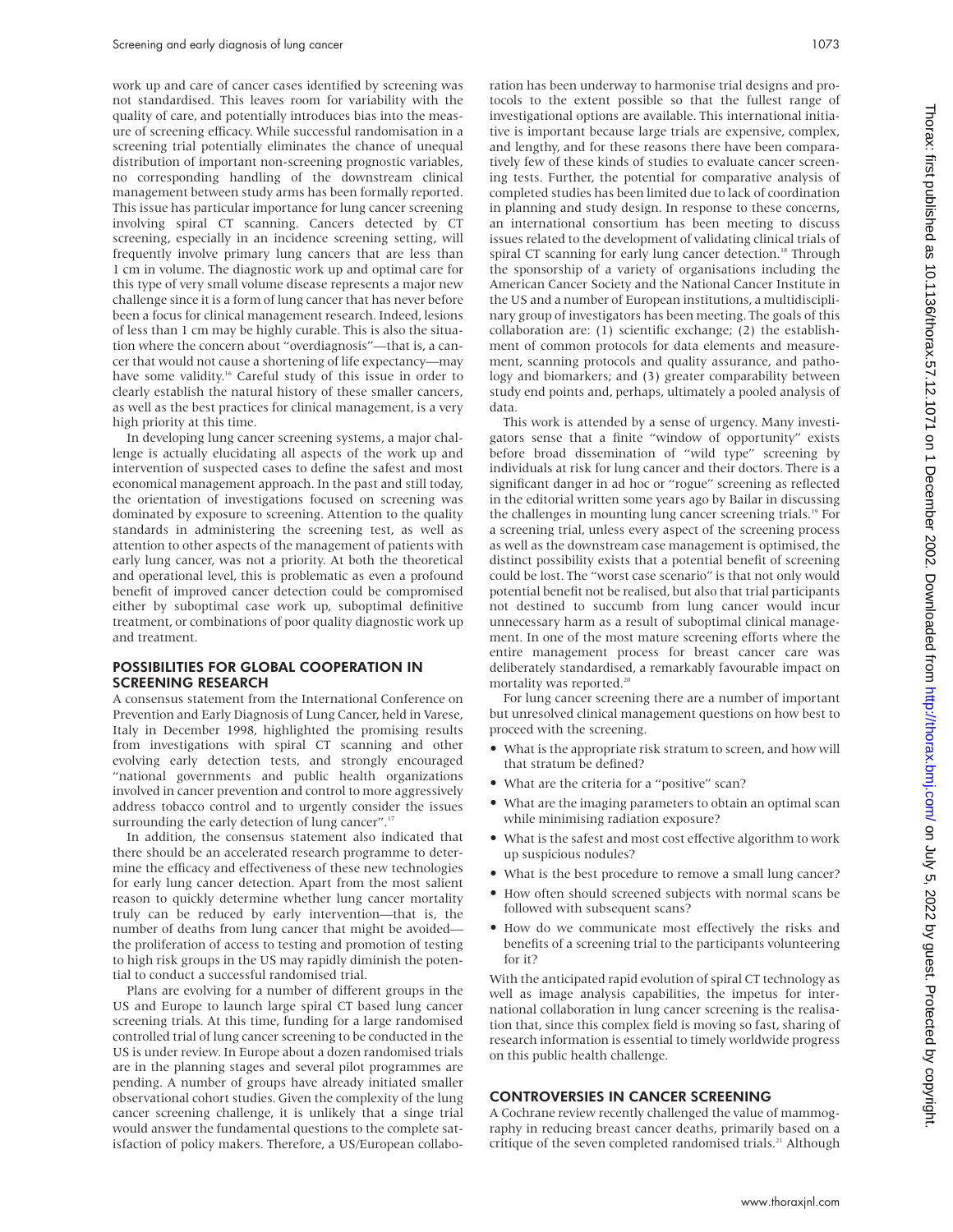work up and care of cancer cases identified by screening was not standardised. This leaves room for variability with the quality of care, and potentially introduces bias into the measure of screening efficacy. While successful randomisation in a screening trial potentially eliminates the chance of unequal distribution of important non-screening prognostic variables, no corresponding handling of the downstream clinical management between study arms has been formally reported. This issue has particular importance for lung cancer screening involving spiral CT scanning. Cancers detected by CT screening, especially in an incidence screening setting, will frequently involve primary lung cancers that are less than 1 cm in volume. The diagnostic work up and optimal care for this type of very small volume disease represents a major new challenge since it is a form of lung cancer that has never before been a focus for clinical management research. Indeed, lesions of less than 1 cm may be highly curable. This is also the situation where the concern about "overdiagnosis"—that is, a cancer that would not cause a shortening of life expectancy—may have some validity.<sup>16</sup> Careful study of this issue in order to clearly establish the natural history of these smaller cancers, as well as the best practices for clinical management, is a very high priority at this time.

In developing lung cancer screening systems, a major challenge is actually elucidating all aspects of the work up and intervention of suspected cases to define the safest and most economical management approach. In the past and still today, the orientation of investigations focused on screening was dominated by exposure to screening. Attention to the quality standards in administering the screening test, as well as attention to other aspects of the management of patients with early lung cancer, was not a priority. At both the theoretical and operational level, this is problematic as even a profound benefit of improved cancer detection could be compromised either by suboptimal case work up, suboptimal definitive treatment, or combinations of poor quality diagnostic work up and treatment.

## POSSIBILITIES FOR GLOBAL COOPERATION IN SCREENING RESEARCH

A consensus statement from the International Conference on Prevention and Early Diagnosis of Lung Cancer, held in Varese, Italy in December 1998, highlighted the promising results from investigations with spiral CT scanning and other evolving early detection tests, and strongly encouraged "national governments and public health organizations involved in cancer prevention and control to more aggressively address tobacco control and to urgently consider the issues surrounding the early detection of lung cancer".<sup>17</sup>

In addition, the consensus statement also indicated that there should be an accelerated research programme to determine the efficacy and effectiveness of these new technologies for early lung cancer detection. Apart from the most salient reason to quickly determine whether lung cancer mortality truly can be reduced by early intervention—that is, the number of deaths from lung cancer that might be avoided the proliferation of access to testing and promotion of testing to high risk groups in the US may rapidly diminish the potential to conduct a successful randomised trial.

Plans are evolving for a number of different groups in the US and Europe to launch large spiral CT based lung cancer screening trials. At this time, funding for a large randomised controlled trial of lung cancer screening to be conducted in the US is under review. In Europe about a dozen randomised trials are in the planning stages and several pilot programmes are pending. A number of groups have already initiated smaller observational cohort studies. Given the complexity of the lung cancer screening challenge, it is unlikely that a singe trial would answer the fundamental questions to the complete satisfaction of policy makers. Therefore, a US/European collaboration has been underway to harmonise trial designs and protocols to the extent possible so that the fullest range of investigational options are available. This international initiative is important because large trials are expensive, complex, and lengthy, and for these reasons there have been comparatively few of these kinds of studies to evaluate cancer screening tests. Further, the potential for comparative analysis of completed studies has been limited due to lack of coordination in planning and study design. In response to these concerns, an international consortium has been meeting to discuss issues related to the development of validating clinical trials of spiral CT scanning for early lung cancer detection.<sup>18</sup> Through the sponsorship of a variety of organisations including the American Cancer Society and the National Cancer Institute in the US and a number of European institutions, a multidisciplinary group of investigators has been meeting. The goals of this collaboration are: (1) scientific exchange; (2) the establishment of common protocols for data elements and measurement, scanning protocols and quality assurance, and pathology and biomarkers; and (3) greater comparability between study end points and, perhaps, ultimately a pooled analysis of data.

This work is attended by a sense of urgency. Many investigators sense that a finite "window of opportunity" exists before broad dissemination of "wild type" screening by individuals at risk for lung cancer and their doctors. There is a significant danger in ad hoc or "rogue" screening as reflected in the editorial written some years ago by Bailar in discussing the challenges in mounting lung cancer screening trials.<sup>19</sup> For a screening trial, unless every aspect of the screening process as well as the downstream case management is optimised, the distinct possibility exists that a potential benefit of screening could be lost. The "worst case scenario" is that not only would potential benefit not be realised, but also that trial participants not destined to succumb from lung cancer would incur unnecessary harm as a result of suboptimal clinical management. In one of the most mature screening efforts where the entire management process for breast cancer care was deliberately standardised, a remarkably favourable impact on mortality was reported.<sup>20</sup>

For lung cancer screening there are a number of important but unresolved clinical management questions on how best to proceed with the screening.

- What is the appropriate risk stratum to screen, and how will that stratum be defined?
- What are the criteria for a "positive" scan?
- What are the imaging parameters to obtain an optimal scan while minimising radiation exposure?
- What is the safest and most cost effective algorithm to work up suspicious nodules?
- What is the best procedure to remove a small lung cancer?
- How often should screened subjects with normal scans be followed with subsequent scans?
- How do we communicate most effectively the risks and benefits of a screening trial to the participants volunteering for it?

With the anticipated rapid evolution of spiral CT technology as well as image analysis capabilities, the impetus for international collaboration in lung cancer screening is the realisation that, since this complex field is moving so fast, sharing of research information is essential to timely worldwide progress on this public health challenge.

## CONTROVERSIES IN CANCER SCREENING

A Cochrane review recently challenged the value of mammography in reducing breast cancer deaths, primarily based on a critique of the seven completed randomised trials.<sup>21</sup> Although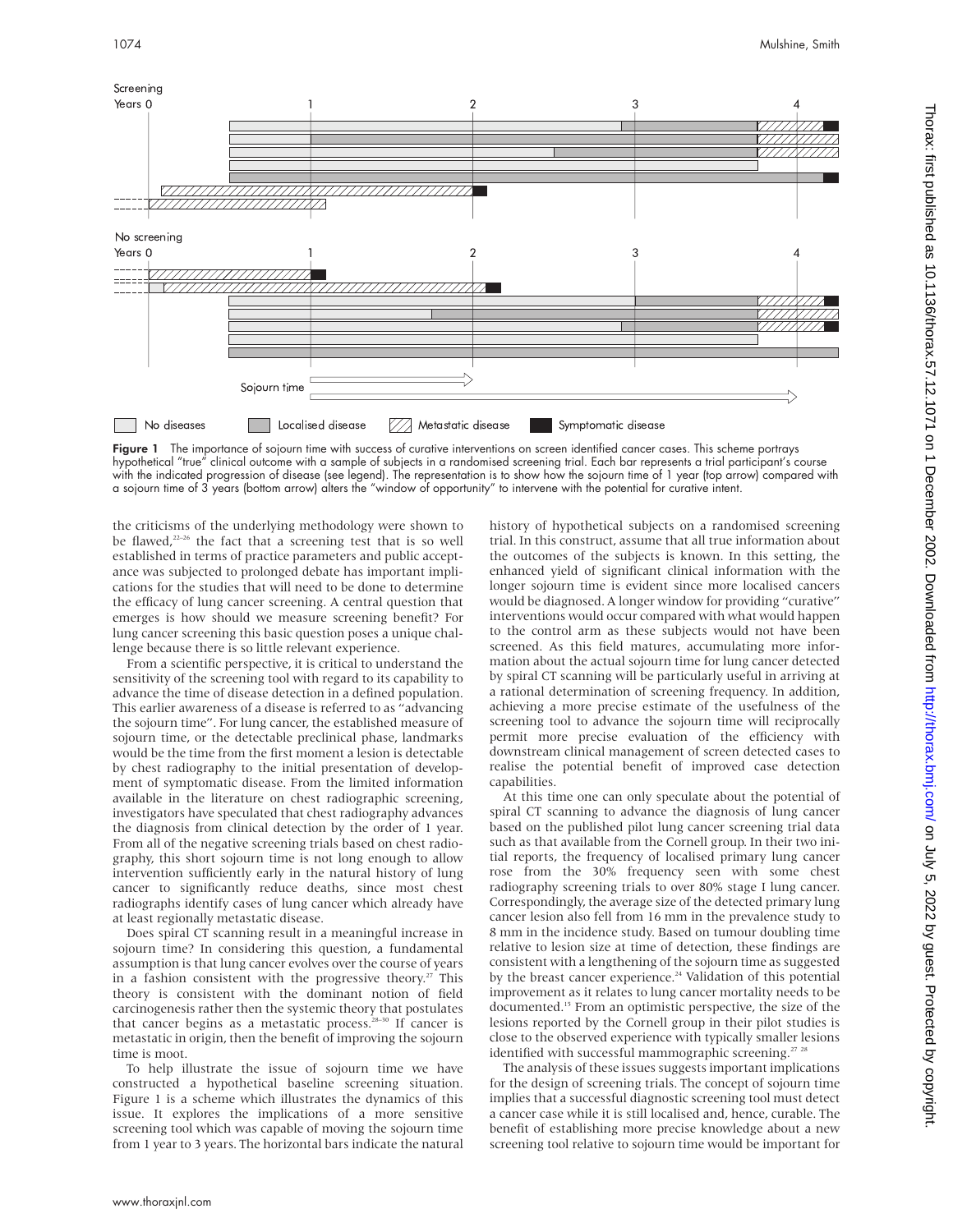



the criticisms of the underlying methodology were shown to be flawed, $22-26$  the fact that a screening test that is so well established in terms of practice parameters and public acceptance was subjected to prolonged debate has important implications for the studies that will need to be done to determine the efficacy of lung cancer screening. A central question that emerges is how should we measure screening benefit? For lung cancer screening this basic question poses a unique challenge because there is so little relevant experience.

From a scientific perspective, it is critical to understand the sensitivity of the screening tool with regard to its capability to advance the time of disease detection in a defined population. This earlier awareness of a disease is referred to as "advancing the sojourn time". For lung cancer, the established measure of sojourn time, or the detectable preclinical phase, landmarks would be the time from the first moment a lesion is detectable by chest radiography to the initial presentation of development of symptomatic disease. From the limited information available in the literature on chest radiographic screening, investigators have speculated that chest radiography advances the diagnosis from clinical detection by the order of 1 year. From all of the negative screening trials based on chest radiography, this short sojourn time is not long enough to allow intervention sufficiently early in the natural history of lung cancer to significantly reduce deaths, since most chest radiographs identify cases of lung cancer which already have at least regionally metastatic disease.

Does spiral CT scanning result in a meaningful increase in sojourn time? In considering this question, a fundamental assumption is that lung cancer evolves over the course of years in a fashion consistent with the progressive theory.<sup>27</sup> This theory is consistent with the dominant notion of field carcinogenesis rather then the systemic theory that postulates that cancer begins as a metastatic process.<sup>28-30</sup> If cancer is metastatic in origin, then the benefit of improving the sojourn time is moot.

To help illustrate the issue of sojourn time we have constructed a hypothetical baseline screening situation. Figure 1 is a scheme which illustrates the dynamics of this issue. It explores the implications of a more sensitive screening tool which was capable of moving the sojourn time from 1 year to 3 years. The horizontal bars indicate the natural

history of hypothetical subjects on a randomised screening trial. In this construct, assume that all true information about the outcomes of the subjects is known. In this setting, the enhanced yield of significant clinical information with the longer sojourn time is evident since more localised cancers would be diagnosed. A longer window for providing "curative" interventions would occur compared with what would happen to the control arm as these subjects would not have been screened. As this field matures, accumulating more information about the actual sojourn time for lung cancer detected by spiral CT scanning will be particularly useful in arriving at a rational determination of screening frequency. In addition, achieving a more precise estimate of the usefulness of the screening tool to advance the sojourn time will reciprocally permit more precise evaluation of the efficiency with downstream clinical management of screen detected cases to realise the potential benefit of improved case detection capabilities.

At this time one can only speculate about the potential of spiral CT scanning to advance the diagnosis of lung cancer based on the published pilot lung cancer screening trial data such as that available from the Cornell group. In their two initial reports, the frequency of localised primary lung cancer rose from the 30% frequency seen with some chest radiography screening trials to over 80% stage I lung cancer. Correspondingly, the average size of the detected primary lung cancer lesion also fell from 16 mm in the prevalence study to 8 mm in the incidence study. Based on tumour doubling time relative to lesion size at time of detection, these findings are consistent with a lengthening of the sojourn time as suggested by the breast cancer experience.<sup>24</sup> Validation of this potential improvement as it relates to lung cancer mortality needs to be documented.<sup>15</sup> From an optimistic perspective, the size of the lesions reported by the Cornell group in their pilot studies is close to the observed experience with typically smaller lesions identified with successful mammographic screening.<sup>27</sup>

The analysis of these issues suggests important implications for the design of screening trials. The concept of sojourn time implies that a successful diagnostic screening tool must detect a cancer case while it is still localised and, hence, curable. The benefit of establishing more precise knowledge about a new screening tool relative to sojourn time would be important for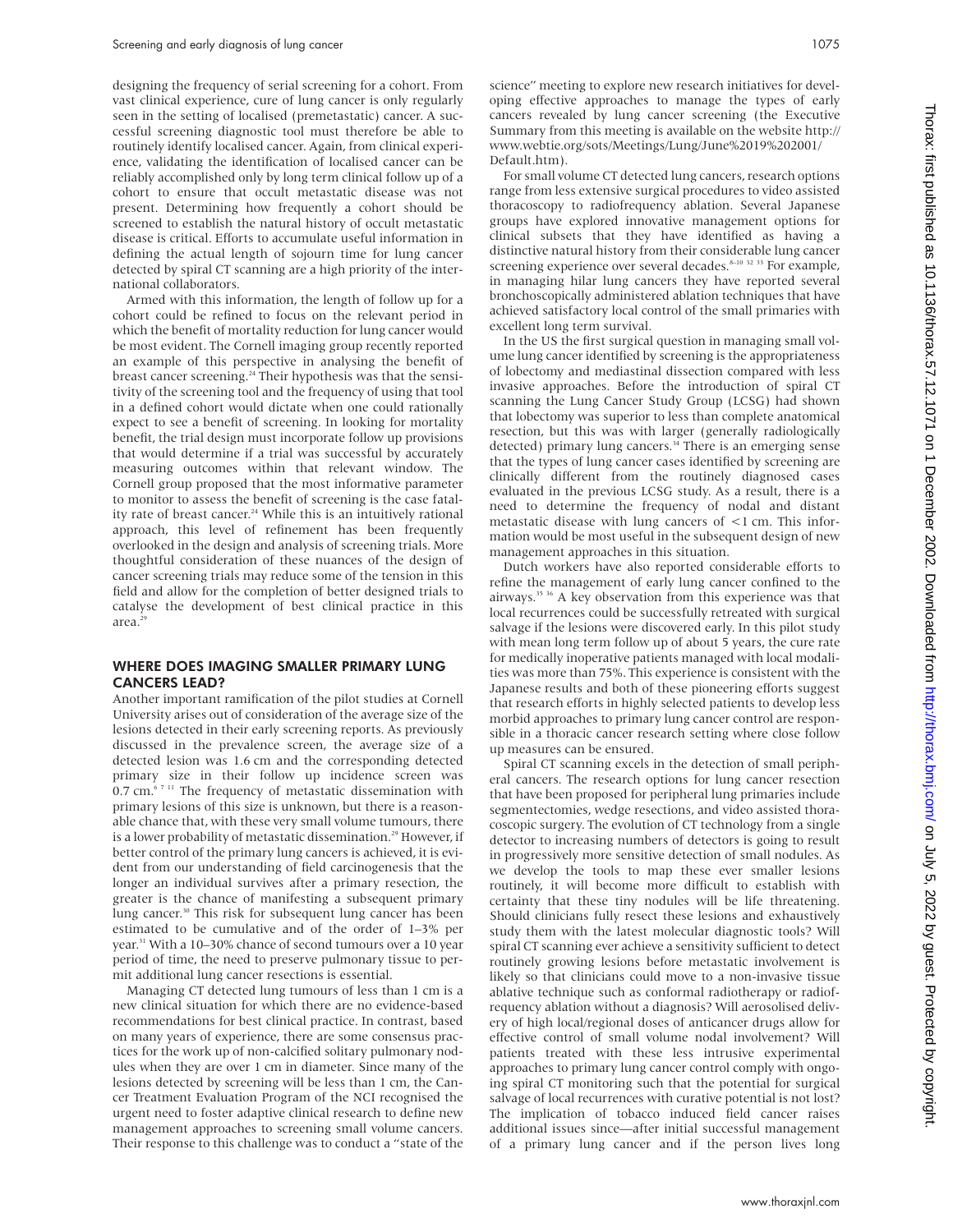designing the frequency of serial screening for a cohort. From vast clinical experience, cure of lung cancer is only regularly seen in the setting of localised (premetastatic) cancer. A successful screening diagnostic tool must therefore be able to routinely identify localised cancer. Again, from clinical experience, validating the identification of localised cancer can be reliably accomplished only by long term clinical follow up of a cohort to ensure that occult metastatic disease was not present. Determining how frequently a cohort should be screened to establish the natural history of occult metastatic disease is critical. Efforts to accumulate useful information in defining the actual length of sojourn time for lung cancer detected by spiral CT scanning are a high priority of the international collaborators.

Armed with this information, the length of follow up for a cohort could be refined to focus on the relevant period in which the benefit of mortality reduction for lung cancer would be most evident. The Cornell imaging group recently reported an example of this perspective in analysing the benefit of breast cancer screening.<sup>24</sup> Their hypothesis was that the sensitivity of the screening tool and the frequency of using that tool in a defined cohort would dictate when one could rationally expect to see a benefit of screening. In looking for mortality benefit, the trial design must incorporate follow up provisions that would determine if a trial was successful by accurately measuring outcomes within that relevant window. The Cornell group proposed that the most informative parameter to monitor to assess the benefit of screening is the case fatality rate of breast cancer.<sup>24</sup> While this is an intuitively rational approach, this level of refinement has been frequently overlooked in the design and analysis of screening trials. More thoughtful consideration of these nuances of the design of cancer screening trials may reduce some of the tension in this field and allow for the completion of better designed trials to catalyse the development of best clinical practice in this area.<sup>29</sup>

#### WHERE DOES IMAGING SMALLER PRIMARY LUNG CANCERS LEAD?

Another important ramification of the pilot studies at Cornell University arises out of consideration of the average size of the lesions detected in their early screening reports. As previously discussed in the prevalence screen, the average size of a detected lesion was 1.6 cm and the corresponding detected primary size in their follow up incidence screen was  $0.7$  cm. $^{6.7}$ <sup>11</sup> The frequency of metastatic dissemination with primary lesions of this size is unknown, but there is a reasonable chance that, with these very small volume tumours, there is a lower probability of metastatic dissemination.<sup>29</sup> However, if better control of the primary lung cancers is achieved, it is evident from our understanding of field carcinogenesis that the longer an individual survives after a primary resection, the greater is the chance of manifesting a subsequent primary lung cancer.<sup>30</sup> This risk for subsequent lung cancer has been estimated to be cumulative and of the order of 1–3% per year.31 With a 10–30% chance of second tumours over a 10 year period of time, the need to preserve pulmonary tissue to permit additional lung cancer resections is essential.

Managing CT detected lung tumours of less than 1 cm is a new clinical situation for which there are no evidence-based recommendations for best clinical practice. In contrast, based on many years of experience, there are some consensus practices for the work up of non-calcified solitary pulmonary nodules when they are over 1 cm in diameter. Since many of the lesions detected by screening will be less than 1 cm, the Cancer Treatment Evaluation Program of the NCI recognised the urgent need to foster adaptive clinical research to define new management approaches to screening small volume cancers. Their response to this challenge was to conduct a "state of the

science" meeting to explore new research initiatives for developing effective approaches to manage the types of early cancers revealed by lung cancer screening (the Executive Summary from this meeting is available on the website http:// www.webtie.org/sots/Meetings/Lung/June%2019%202001/ Default.htm).

For small volume CT detected lung cancers, research options range from less extensive surgical procedures to video assisted thoracoscopy to radiofrequency ablation. Several Japanese groups have explored innovative management options for clinical subsets that they have identified as having a distinctive natural history from their considerable lung cancer screening experience over several decades.<sup>8-10</sup> <sup>32</sup> <sup>33</sup> For example, in managing hilar lung cancers they have reported several bronchoscopically administered ablation techniques that have achieved satisfactory local control of the small primaries with excellent long term survival.

In the US the first surgical question in managing small volume lung cancer identified by screening is the appropriateness of lobectomy and mediastinal dissection compared with less invasive approaches. Before the introduction of spiral CT scanning the Lung Cancer Study Group (LCSG) had shown that lobectomy was superior to less than complete anatomical resection, but this was with larger (generally radiologically detected) primary lung cancers.<sup>34</sup> There is an emerging sense that the types of lung cancer cases identified by screening are clinically different from the routinely diagnosed cases evaluated in the previous LCSG study. As a result, there is a need to determine the frequency of nodal and distant metastatic disease with lung cancers of <1 cm. This information would be most useful in the subsequent design of new management approaches in this situation.

Dutch workers have also reported considerable efforts to refine the management of early lung cancer confined to the airways.35 36 A key observation from this experience was that local recurrences could be successfully retreated with surgical salvage if the lesions were discovered early. In this pilot study with mean long term follow up of about 5 years, the cure rate for medically inoperative patients managed with local modalities was more than 75%. This experience is consistent with the Japanese results and both of these pioneering efforts suggest that research efforts in highly selected patients to develop less morbid approaches to primary lung cancer control are responsible in a thoracic cancer research setting where close follow up measures can be ensured.

Spiral CT scanning excels in the detection of small peripheral cancers. The research options for lung cancer resection that have been proposed for peripheral lung primaries include segmentectomies, wedge resections, and video assisted thoracoscopic surgery. The evolution of CT technology from a single detector to increasing numbers of detectors is going to result in progressively more sensitive detection of small nodules. As we develop the tools to map these ever smaller lesions routinely, it will become more difficult to establish with certainty that these tiny nodules will be life threatening. Should clinicians fully resect these lesions and exhaustively study them with the latest molecular diagnostic tools? Will spiral CT scanning ever achieve a sensitivity sufficient to detect routinely growing lesions before metastatic involvement is likely so that clinicians could move to a non-invasive tissue ablative technique such as conformal radiotherapy or radiofrequency ablation without a diagnosis? Will aerosolised delivery of high local/regional doses of anticancer drugs allow for effective control of small volume nodal involvement? Will patients treated with these less intrusive experimental approaches to primary lung cancer control comply with ongoing spiral CT monitoring such that the potential for surgical salvage of local recurrences with curative potential is not lost? The implication of tobacco induced field cancer raises additional issues since—after initial successful management of a primary lung cancer and if the person lives long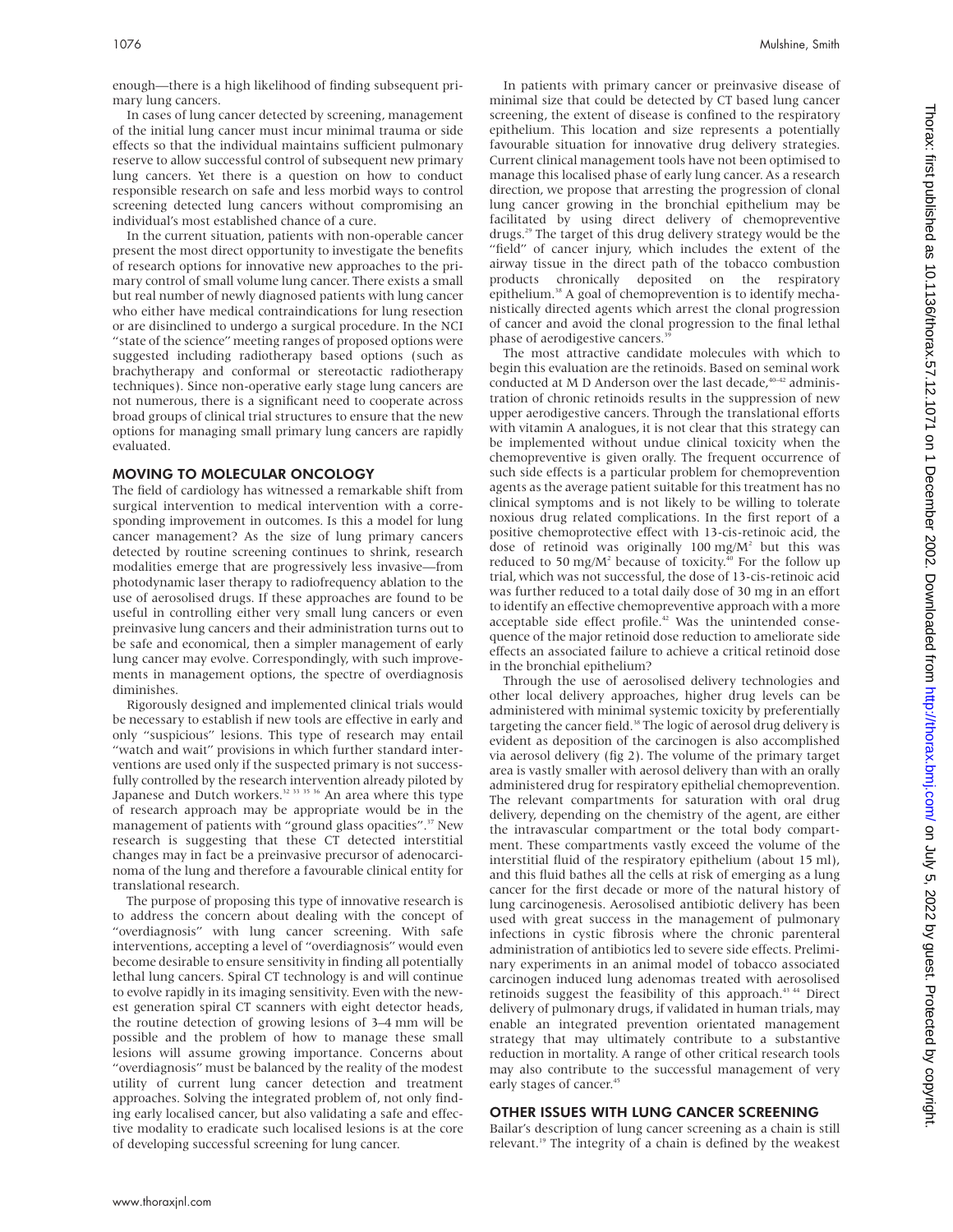enough—there is a high likelihood of finding subsequent primary lung cancers.

In cases of lung cancer detected by screening, management of the initial lung cancer must incur minimal trauma or side effects so that the individual maintains sufficient pulmonary reserve to allow successful control of subsequent new primary lung cancers. Yet there is a question on how to conduct responsible research on safe and less morbid ways to control screening detected lung cancers without compromising an individual's most established chance of a cure.

In the current situation, patients with non-operable cancer present the most direct opportunity to investigate the benefits of research options for innovative new approaches to the primary control of small volume lung cancer. There exists a small but real number of newly diagnosed patients with lung cancer who either have medical contraindications for lung resection or are disinclined to undergo a surgical procedure. In the NCI "state of the science" meeting ranges of proposed options were suggested including radiotherapy based options (such as brachytherapy and conformal or stereotactic radiotherapy techniques). Since non-operative early stage lung cancers are not numerous, there is a significant need to cooperate across broad groups of clinical trial structures to ensure that the new options for managing small primary lung cancers are rapidly evaluated.

#### MOVING TO MOLECULAR ONCOLOGY

The field of cardiology has witnessed a remarkable shift from surgical intervention to medical intervention with a corresponding improvement in outcomes. Is this a model for lung cancer management? As the size of lung primary cancers detected by routine screening continues to shrink, research modalities emerge that are progressively less invasive—from photodynamic laser therapy to radiofrequency ablation to the use of aerosolised drugs. If these approaches are found to be useful in controlling either very small lung cancers or even preinvasive lung cancers and their administration turns out to be safe and economical, then a simpler management of early lung cancer may evolve. Correspondingly, with such improvements in management options, the spectre of overdiagnosis diminishes.

Rigorously designed and implemented clinical trials would be necessary to establish if new tools are effective in early and only "suspicious" lesions. This type of research may entail "watch and wait" provisions in which further standard interventions are used only if the suspected primary is not successfully controlled by the research intervention already piloted by Japanese and Dutch workers.<sup>32 33 35</sup> 36 An area where this type of research approach may be appropriate would be in the management of patients with "ground glass opacities".<sup>37</sup> New research is suggesting that these CT detected interstitial changes may in fact be a preinvasive precursor of adenocarcinoma of the lung and therefore a favourable clinical entity for translational research.

The purpose of proposing this type of innovative research is to address the concern about dealing with the concept of "overdiagnosis" with lung cancer screening. With safe interventions, accepting a level of "overdiagnosis" would even become desirable to ensure sensitivity in finding all potentially lethal lung cancers. Spiral CT technology is and will continue to evolve rapidly in its imaging sensitivity. Even with the newest generation spiral CT scanners with eight detector heads, the routine detection of growing lesions of 3–4 mm will be possible and the problem of how to manage these small lesions will assume growing importance. Concerns about "overdiagnosis" must be balanced by the reality of the modest utility of current lung cancer detection and treatment approaches. Solving the integrated problem of, not only finding early localised cancer, but also validating a safe and effective modality to eradicate such localised lesions is at the core of developing successful screening for lung cancer.

In patients with primary cancer or preinvasive disease of minimal size that could be detected by CT based lung cancer screening, the extent of disease is confined to the respiratory epithelium. This location and size represents a potentially favourable situation for innovative drug delivery strategies. Current clinical management tools have not been optimised to manage this localised phase of early lung cancer. As a research direction, we propose that arresting the progression of clonal lung cancer growing in the bronchial epithelium may be facilitated by using direct delivery of chemopreventive drugs.<sup>29</sup> The target of this drug delivery strategy would be the "field" of cancer injury, which includes the extent of the airway tissue in the direct path of the tobacco combustion products chronically deposited on the respiratory epithelium.<sup>38</sup> A goal of chemoprevention is to identify mechanistically directed agents which arrest the clonal progression of cancer and avoid the clonal progression to the final lethal phase of aerodigestive cancers.<sup>3</sup>

The most attractive candidate molecules with which to begin this evaluation are the retinoids. Based on seminal work conducted at M D Anderson over the last decade,<sup>40-42</sup> administration of chronic retinoids results in the suppression of new upper aerodigestive cancers. Through the translational efforts with vitamin A analogues, it is not clear that this strategy can be implemented without undue clinical toxicity when the chemopreventive is given orally. The frequent occurrence of such side effects is a particular problem for chemoprevention agents as the average patient suitable for this treatment has no clinical symptoms and is not likely to be willing to tolerate noxious drug related complications. In the first report of a positive chemoprotective effect with 13-cis-retinoic acid, the dose of retinoid was originally  $100 \text{ mg/M}^2$  but this was reduced to 50 mg/ $M^2$  because of toxicity.<sup>40</sup> For the follow up trial, which was not successful, the dose of 13-cis-retinoic acid was further reduced to a total daily dose of 30 mg in an effort to identify an effective chemopreventive approach with a more acceptable side effect profile.<sup>42</sup> Was the unintended consequence of the major retinoid dose reduction to ameliorate side effects an associated failure to achieve a critical retinoid dose in the bronchial epithelium?

Through the use of aerosolised delivery technologies and other local delivery approaches, higher drug levels can be administered with minimal systemic toxicity by preferentially targeting the cancer field.<sup>38</sup> The logic of aerosol drug delivery is evident as deposition of the carcinogen is also accomplished via aerosol delivery (fig 2). The volume of the primary target area is vastly smaller with aerosol delivery than with an orally administered drug for respiratory epithelial chemoprevention. The relevant compartments for saturation with oral drug delivery, depending on the chemistry of the agent, are either the intravascular compartment or the total body compartment. These compartments vastly exceed the volume of the interstitial fluid of the respiratory epithelium (about 15 ml), and this fluid bathes all the cells at risk of emerging as a lung cancer for the first decade or more of the natural history of lung carcinogenesis. Aerosolised antibiotic delivery has been used with great success in the management of pulmonary infections in cystic fibrosis where the chronic parenteral administration of antibiotics led to severe side effects. Preliminary experiments in an animal model of tobacco associated carcinogen induced lung adenomas treated with aerosolised retinoids suggest the feasibility of this approach.<sup>43 44</sup> Direct delivery of pulmonary drugs, if validated in human trials, may enable an integrated prevention orientated management strategy that may ultimately contribute to a substantive reduction in mortality. A range of other critical research tools may also contribute to the successful management of very early stages of cancer.<sup>45</sup>

## OTHER ISSUES WITH LUNG CANCER SCREENING

Bailar's description of lung cancer screening as a chain is still relevant.<sup>19</sup> The integrity of a chain is defined by the weakest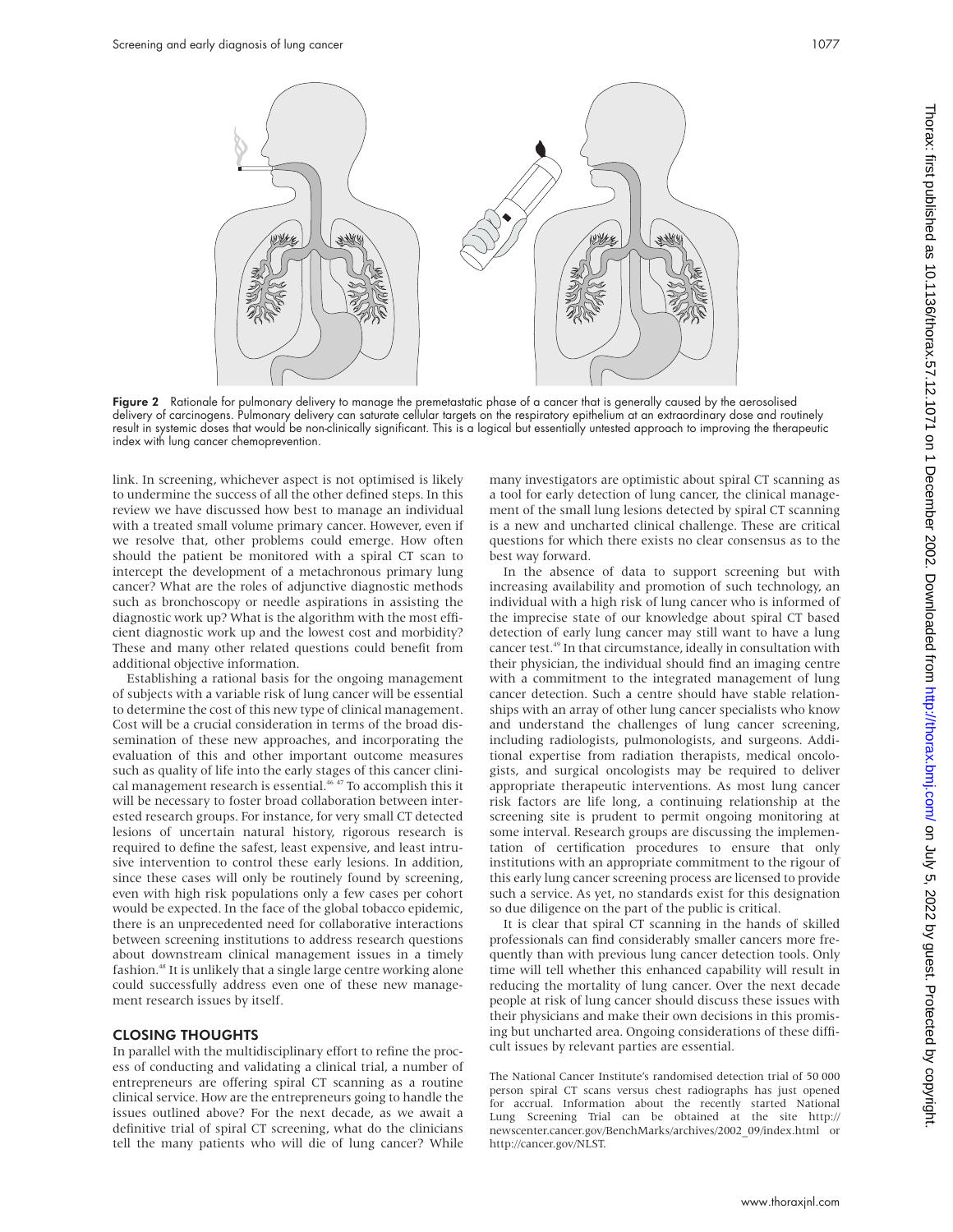

Figure 2 Rationale for pulmonary delivery to manage the premetastatic phase of a cancer that is generally caused by the aerosolised delivery of carcinogens. Pulmonary delivery can saturate cellular targets on the respiratory epithelium at an extraordinary dose and routinely result in systemic doses that would be non-clinically significant. This is a logical but essentially untested approach to improving the therapeutic index with lung cancer chemoprevention.

link. In screening, whichever aspect is not optimised is likely to undermine the success of all the other defined steps. In this review we have discussed how best to manage an individual with a treated small volume primary cancer. However, even if we resolve that, other problems could emerge. How often should the patient be monitored with a spiral CT scan to intercept the development of a metachronous primary lung cancer? What are the roles of adjunctive diagnostic methods such as bronchoscopy or needle aspirations in assisting the diagnostic work up? What is the algorithm with the most efficient diagnostic work up and the lowest cost and morbidity? These and many other related questions could benefit from additional objective information.

Establishing a rational basis for the ongoing management of subjects with a variable risk of lung cancer will be essential to determine the cost of this new type of clinical management. Cost will be a crucial consideration in terms of the broad dissemination of these new approaches, and incorporating the evaluation of this and other important outcome measures such as quality of life into the early stages of this cancer clinical management research is essential. $46\frac{47}{47}$  To accomplish this it will be necessary to foster broad collaboration between interested research groups. For instance, for very small CT detected lesions of uncertain natural history, rigorous research is required to define the safest, least expensive, and least intrusive intervention to control these early lesions. In addition, since these cases will only be routinely found by screening, even with high risk populations only a few cases per cohort would be expected. In the face of the global tobacco epidemic, there is an unprecedented need for collaborative interactions between screening institutions to address research questions about downstream clinical management issues in a timely fashion.<sup>48</sup> It is unlikely that a single large centre working alone could successfully address even one of these new management research issues by itself.

#### CLOSING THOUGHTS

In parallel with the multidisciplinary effort to refine the process of conducting and validating a clinical trial, a number of entrepreneurs are offering spiral CT scanning as a routine clinical service. How are the entrepreneurs going to handle the issues outlined above? For the next decade, as we await a definitive trial of spiral CT screening, what do the clinicians tell the many patients who will die of lung cancer? While

many investigators are optimistic about spiral CT scanning as a tool for early detection of lung cancer, the clinical management of the small lung lesions detected by spiral CT scanning is a new and uncharted clinical challenge. These are critical questions for which there exists no clear consensus as to the best way forward.

In the absence of data to support screening but with increasing availability and promotion of such technology, an individual with a high risk of lung cancer who is informed of the imprecise state of our knowledge about spiral CT based detection of early lung cancer may still want to have a lung cancer test.<sup>49</sup> In that circumstance, ideally in consultation with their physician, the individual should find an imaging centre with a commitment to the integrated management of lung cancer detection. Such a centre should have stable relationships with an array of other lung cancer specialists who know and understand the challenges of lung cancer screening, including radiologists, pulmonologists, and surgeons. Additional expertise from radiation therapists, medical oncologists, and surgical oncologists may be required to deliver appropriate therapeutic interventions. As most lung cancer risk factors are life long, a continuing relationship at the screening site is prudent to permit ongoing monitoring at some interval. Research groups are discussing the implementation of certification procedures to ensure that only institutions with an appropriate commitment to the rigour of this early lung cancer screening process are licensed to provide such a service. As yet, no standards exist for this designation so due diligence on the part of the public is critical.

It is clear that spiral CT scanning in the hands of skilled professionals can find considerably smaller cancers more frequently than with previous lung cancer detection tools. Only time will tell whether this enhanced capability will result in reducing the mortality of lung cancer. Over the next decade people at risk of lung cancer should discuss these issues with their physicians and make their own decisions in this promising but uncharted area. Ongoing considerations of these difficult issues by relevant parties are essential.

The National Cancer Institute's randomised detection trial of 50 000 person spiral CT scans versus chest radiographs has just opened for accrual. Information about the recently started National Lung Screening Trial can be obtained at the site http:// newscenter.cancer.gov/BenchMarks/archives/2002\_09/index.html or http://cancer.gov/NLST.